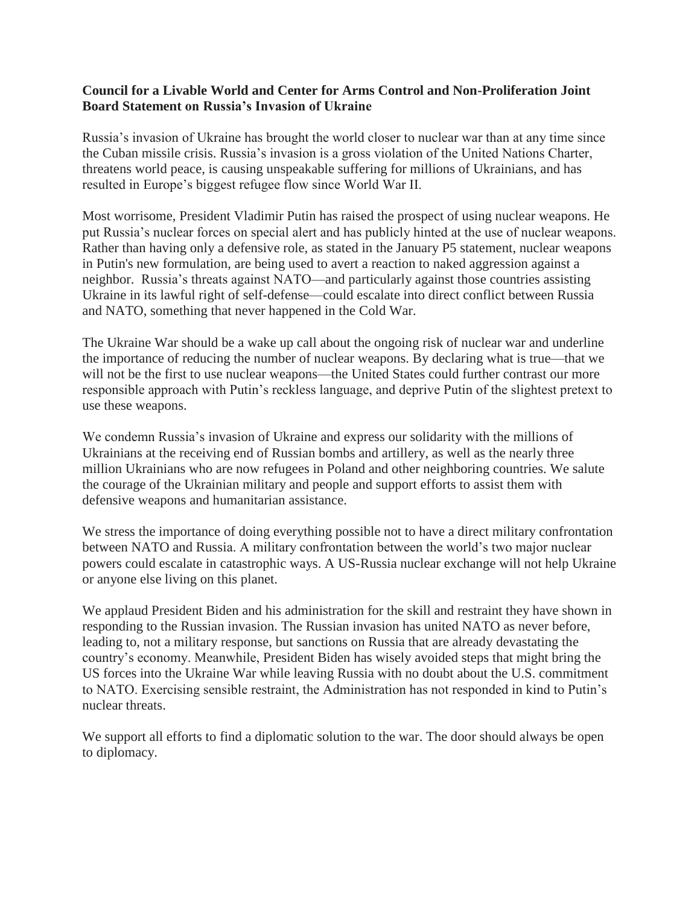## **Council for a Livable World and Center for Arms Control and Non-Proliferation Joint Board Statement on Russia's Invasion of Ukraine**

Russia's invasion of Ukraine has brought the world closer to nuclear war than at any time since the Cuban missile crisis. Russia's invasion is a gross violation of the United Nations Charter, threatens world peace, is causing unspeakable suffering for millions of Ukrainians, and has resulted in Europe's biggest refugee flow since World War II.

Most worrisome, President Vladimir Putin has raised the prospect of using nuclear weapons. He put Russia's nuclear forces on special alert and has publicly hinted at the use of nuclear weapons. Rather than having only a defensive role, as stated in the January P5 statement, nuclear weapons in Putin's new formulation, are being used to avert a reaction to naked aggression against a neighbor. Russia's threats against NATO—and particularly against those countries assisting Ukraine in its lawful right of self-defense—could escalate into direct conflict between Russia and NATO, something that never happened in the Cold War.

The Ukraine War should be a wake up call about the ongoing risk of nuclear war and underline the importance of reducing the number of nuclear weapons. By declaring what is true—that we will not be the first to use nuclear weapons—the United States could further contrast our more responsible approach with Putin's reckless language, and deprive Putin of the slightest pretext to use these weapons.

We condemn Russia's invasion of Ukraine and express our solidarity with the millions of Ukrainians at the receiving end of Russian bombs and artillery, as well as the nearly three million Ukrainians who are now refugees in Poland and other neighboring countries. We salute the courage of the Ukrainian military and people and support efforts to assist them with defensive weapons and humanitarian assistance.

We stress the importance of doing everything possible not to have a direct military confrontation between NATO and Russia. A military confrontation between the world's two major nuclear powers could escalate in catastrophic ways. A US-Russia nuclear exchange will not help Ukraine or anyone else living on this planet.

We applaud President Biden and his administration for the skill and restraint they have shown in responding to the Russian invasion. The Russian invasion has united NATO as never before, leading to, not a military response, but sanctions on Russia that are already devastating the country's economy. Meanwhile, President Biden has wisely avoided steps that might bring the US forces into the Ukraine War while leaving Russia with no doubt about the U.S. commitment to NATO. Exercising sensible restraint, the Administration has not responded in kind to Putin's nuclear threats.

We support all efforts to find a diplomatic solution to the war. The door should always be open to diplomacy.